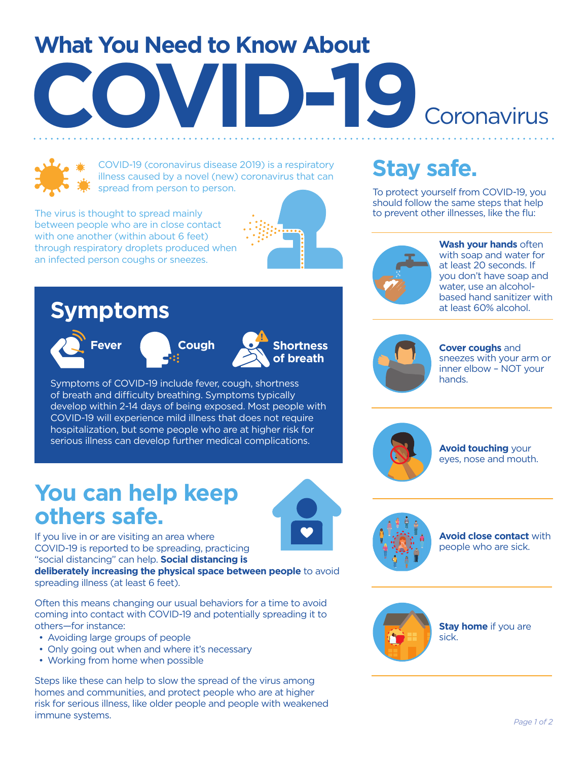# **What You Need to Know About COVID-19** Coronavirus



COVID-19 (coronavirus disease 2019) is a respiratory illness caused by a novel (new) coronavirus that can spread from person to person.

The virus is thought to spread mainly between people who are in close contact with one another (within about 6 feet) through respiratory droplets produced when an infected person coughs or sneezes.





To protect yourself from COVID-19, you should follow the same steps that help to prevent other illnesses, like the flu:



**Wash your hands** often with soap and water for at least 20 seconds. If you don't have soap and water, use an alcoholbased hand sanitizer with at least 60% alcohol.



**Cover coughs** and sneezes with your arm or inner elbow – NOT your hands.



**Avoid touching** your eyes, nose and mouth.



**Avoid close contact** with people who are sick.



**Stay home** if you are sick.

## **Symptoms**









Symptoms of COVID-19 include fever, cough, shortness of breath and difficulty breathing. Symptoms typically develop within 2-14 days of being exposed. Most people with COVID-19 will experience mild illness that does not require hospitalization, but some people who are at higher risk for serious illness can develop further medical complications.

## **You can help keep others safe.**

If you live in or are visiting an area where COVID-19 is reported to be spreading, practicing "social distancing" can help. **Social distancing is deliberately increasing the physical space between people** to avoid

spreading illness (at least 6 feet).

Often this means changing our usual behaviors for a time to avoid coming into contact with COVID-19 and potentially spreading it to others—for instance:

- Avoiding large groups of people
- Only going out when and where it's necessary
- Working from home when possible

Steps like these can help to slow the spread of the virus among homes and communities, and protect people who are at higher risk for serious illness, like older people and people with weakened immune systems. *Page 1 of 2*